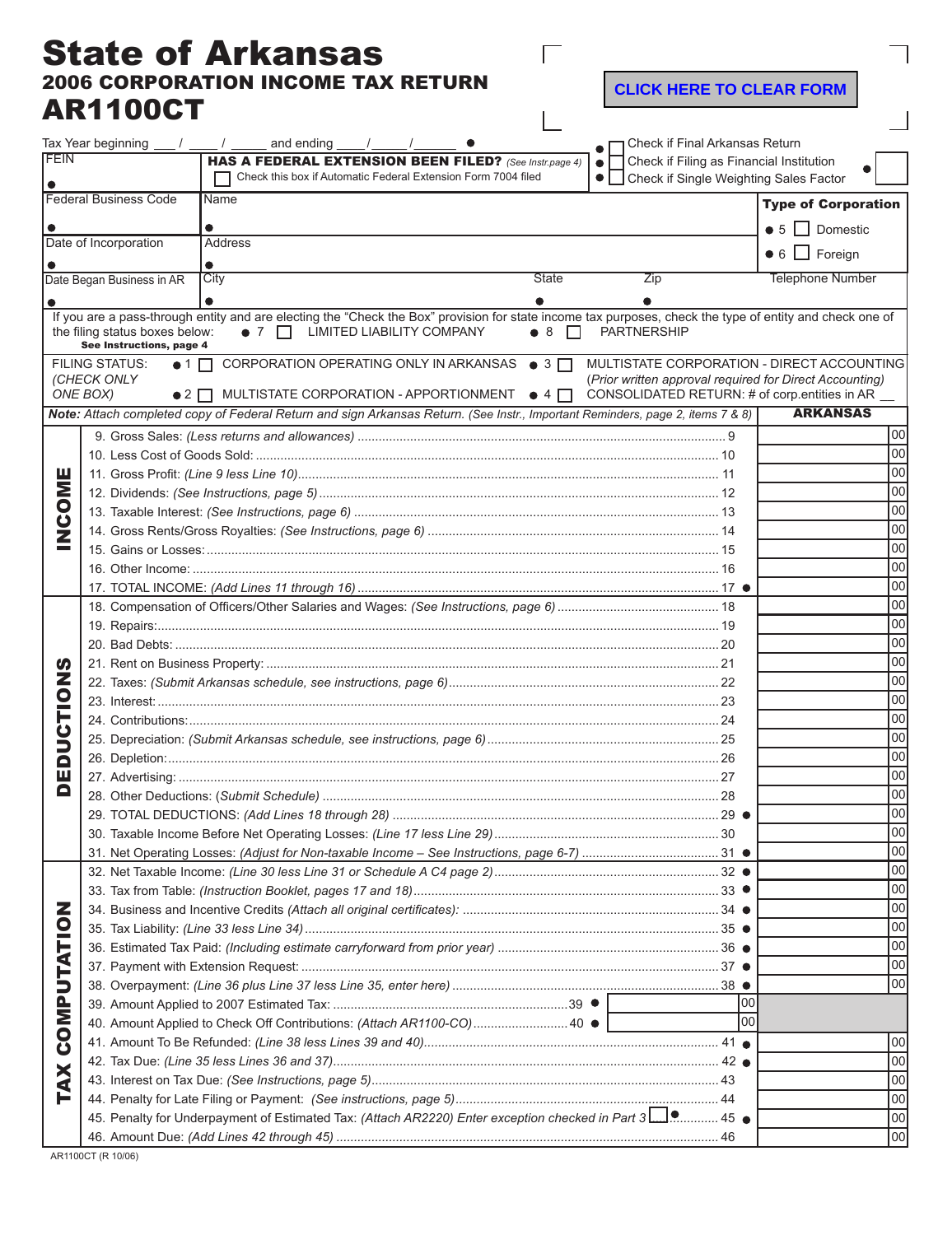## State of Arkansas 2006 CORPORATION INCOME TAX RETURN AR1100CT

**CLICK HERE TO CLEAR FORM** 

 $\overline{1}$ 

|                              | AR I IVVU I                                                    |                                                                                                                                                                                             |                    |                                                         |                                            |  |
|------------------------------|----------------------------------------------------------------|---------------------------------------------------------------------------------------------------------------------------------------------------------------------------------------------|--------------------|---------------------------------------------------------|--------------------------------------------|--|
|                              | Tax Year beginning $\frac{1}{\sqrt{2}}$ / $\frac{1}{\sqrt{2}}$ | and ending                                                                                                                                                                                  |                    | Check if Final Arkansas Return                          |                                            |  |
| FEIN                         |                                                                | HAS A FEDERAL EXTENSION BEEN FILED? (See Instr.page 4)                                                                                                                                      | $\bullet$          | Check if Filing as Financial Institution                |                                            |  |
|                              |                                                                | Check this box if Automatic Federal Extension Form 7004 filed                                                                                                                               |                    | • Check if Single Weighting Sales Factor                |                                            |  |
| <b>Federal Business Code</b> |                                                                | Name                                                                                                                                                                                        |                    |                                                         | <b>Type of Corporation</b>                 |  |
|                              |                                                                |                                                                                                                                                                                             |                    |                                                         | $\bullet$ 5 $\Box$ Domestic                |  |
| Date of Incorporation        |                                                                | Address                                                                                                                                                                                     |                    |                                                         |                                            |  |
|                              |                                                                |                                                                                                                                                                                             |                    |                                                         | $\bullet$ 6 $\Box$ Foreign                 |  |
|                              | Date Began Business in AR                                      | City                                                                                                                                                                                        | <b>State</b>       | Zip                                                     | <b>Telephone Number</b>                    |  |
|                              |                                                                |                                                                                                                                                                                             |                    |                                                         |                                            |  |
|                              | the filing status boxes below:<br>See Instructions, page 4     | If you are a pass-through entity and are electing the "Check the Box" provision for state income tax purposes, check the type of entity and check one of<br>• 7   LIMITED LIABILITY COMPANY | $\bullet$ 8 $\Box$ | <b>PARTNERSHIP</b>                                      |                                            |  |
|                              | <b>FILING STATUS:</b><br>$\bullet$ 1 $\Box$<br>(CHECK ONLY     | CORPORATION OPERATING ONLY IN ARKANSAS ● 3                                                                                                                                                  |                    | (Prior written approval required for Direct Accounting) | MULTISTATE CORPORATION - DIRECT ACCOUNTING |  |
|                              | ONE BOX)<br>$\bullet$ 2 $\Box$                                 | MULTISTATE CORPORATION - APPORTIONMENT $\bullet$ 4                                                                                                                                          |                    | CONSOLIDATED RETURN: # of corp.entities in AR           |                                            |  |
|                              |                                                                | Note: Attach completed copy of Federal Return and sign Arkansas Return. (See Instr., Important Reminders, page 2, items 7 & 8)                                                              |                    |                                                         | <b>ARKANSAS</b>                            |  |
|                              |                                                                |                                                                                                                                                                                             |                    |                                                         | 00                                         |  |
|                              |                                                                |                                                                                                                                                                                             |                    |                                                         | 100                                        |  |
| ш                            |                                                                |                                                                                                                                                                                             |                    |                                                         | 00<br>loo                                  |  |
| Σ<br>O<br>20                 |                                                                |                                                                                                                                                                                             |                    |                                                         |                                            |  |
|                              |                                                                |                                                                                                                                                                                             |                    |                                                         | loo<br>00                                  |  |
|                              |                                                                |                                                                                                                                                                                             |                    |                                                         | 00                                         |  |
|                              |                                                                |                                                                                                                                                                                             |                    | 00                                                      |                                            |  |
|                              |                                                                |                                                                                                                                                                                             |                    |                                                         |                                            |  |
|                              |                                                                |                                                                                                                                                                                             |                    |                                                         | 100<br>100                                 |  |
|                              |                                                                | 00                                                                                                                                                                                          |                    |                                                         |                                            |  |
| ŋ                            |                                                                |                                                                                                                                                                                             |                    |                                                         | 00                                         |  |
|                              |                                                                |                                                                                                                                                                                             |                    | 00                                                      |                                            |  |
| Z                            |                                                                |                                                                                                                                                                                             | 00                 |                                                         |                                            |  |
| <u>୦</u>                     |                                                                |                                                                                                                                                                                             |                    | 00                                                      |                                            |  |
|                              |                                                                |                                                                                                                                                                                             |                    | 00                                                      |                                            |  |
| ט<br>כ                       |                                                                |                                                                                                                                                                                             |                    |                                                         |                                            |  |
|                              |                                                                |                                                                                                                                                                                             |                    |                                                         |                                            |  |
| ш                            |                                                                |                                                                                                                                                                                             | loo<br> 00         |                                                         |                                            |  |
| Q                            |                                                                |                                                                                                                                                                                             |                    |                                                         |                                            |  |
|                              |                                                                | $29$ $\bullet$                                                                                                                                                                              |                    |                                                         |                                            |  |
|                              |                                                                | 100                                                                                                                                                                                         |                    |                                                         |                                            |  |
|                              |                                                                |                                                                                                                                                                                             |                    |                                                         | 100                                        |  |
| z<br>UTATIO                  |                                                                |                                                                                                                                                                                             |                    |                                                         | 00<br>00                                   |  |
|                              |                                                                |                                                                                                                                                                                             |                    |                                                         | 00                                         |  |
|                              |                                                                |                                                                                                                                                                                             |                    |                                                         | 00                                         |  |
|                              |                                                                | 00                                                                                                                                                                                          |                    |                                                         |                                            |  |
|                              |                                                                | 00                                                                                                                                                                                          |                    |                                                         |                                            |  |
|                              |                                                                |                                                                                                                                                                                             |                    |                                                         | 00                                         |  |
|                              |                                                                |                                                                                                                                                                                             |                    | 00                                                      |                                            |  |
| <b>COMP</b><br><b>TAX</b>    |                                                                | 40. Amount Applied to Check Off Contributions: (Attach AR1100-CO) 40 ●                                                                                                                      |                    | lool                                                    |                                            |  |
|                              |                                                                |                                                                                                                                                                                             |                    |                                                         | 00                                         |  |
|                              |                                                                |                                                                                                                                                                                             |                    |                                                         | 100                                        |  |
|                              |                                                                |                                                                                                                                                                                             |                    |                                                         | 100                                        |  |
|                              |                                                                |                                                                                                                                                                                             |                    |                                                         | 100                                        |  |
|                              |                                                                | 45. Penalty for Underpayment of Estimated Tax: (Attach AR2220) Enter exception checked in Part 3                                                                                            |                    |                                                         | 00                                         |  |
|                              |                                                                |                                                                                                                                                                                             |                    |                                                         | 00                                         |  |

Е

AR1100CT (R 10/06)